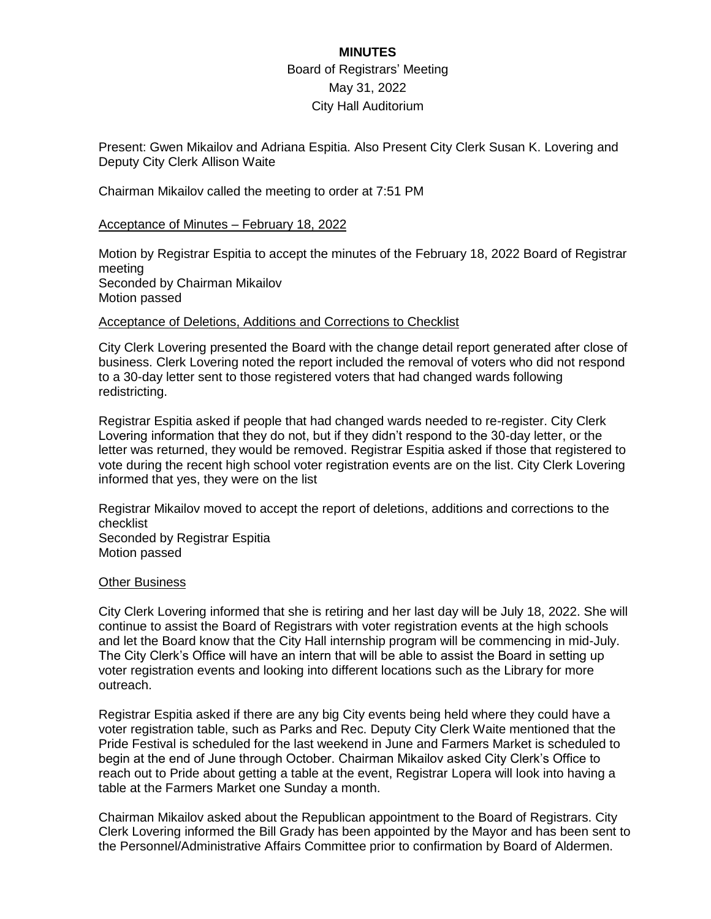# **MINUTES** Board of Registrars' Meeting May 31, 2022 City Hall Auditorium

Present: Gwen Mikailov and Adriana Espitia. Also Present City Clerk Susan K. Lovering and Deputy City Clerk Allison Waite

Chairman Mikailov called the meeting to order at 7:51 PM

## Acceptance of Minutes – February 18, 2022

Motion by Registrar Espitia to accept the minutes of the February 18, 2022 Board of Registrar meeting Seconded by Chairman Mikailov Motion passed

### Acceptance of Deletions, Additions and Corrections to Checklist

City Clerk Lovering presented the Board with the change detail report generated after close of business. Clerk Lovering noted the report included the removal of voters who did not respond to a 30-day letter sent to those registered voters that had changed wards following redistricting.

Registrar Espitia asked if people that had changed wards needed to re-register. City Clerk Lovering information that they do not, but if they didn't respond to the 30-day letter, or the letter was returned, they would be removed. Registrar Espitia asked if those that registered to vote during the recent high school voter registration events are on the list. City Clerk Lovering informed that yes, they were on the list

Registrar Mikailov moved to accept the report of deletions, additions and corrections to the checklist Seconded by Registrar Espitia Motion passed

### Other Business

City Clerk Lovering informed that she is retiring and her last day will be July 18, 2022. She will continue to assist the Board of Registrars with voter registration events at the high schools and let the Board know that the City Hall internship program will be commencing in mid-July. The City Clerk's Office will have an intern that will be able to assist the Board in setting up voter registration events and looking into different locations such as the Library for more outreach.

Registrar Espitia asked if there are any big City events being held where they could have a voter registration table, such as Parks and Rec. Deputy City Clerk Waite mentioned that the Pride Festival is scheduled for the last weekend in June and Farmers Market is scheduled to begin at the end of June through October. Chairman Mikailov asked City Clerk's Office to reach out to Pride about getting a table at the event, Registrar Lopera will look into having a table at the Farmers Market one Sunday a month.

Chairman Mikailov asked about the Republican appointment to the Board of Registrars. City Clerk Lovering informed the Bill Grady has been appointed by the Mayor and has been sent to the Personnel/Administrative Affairs Committee prior to confirmation by Board of Aldermen.